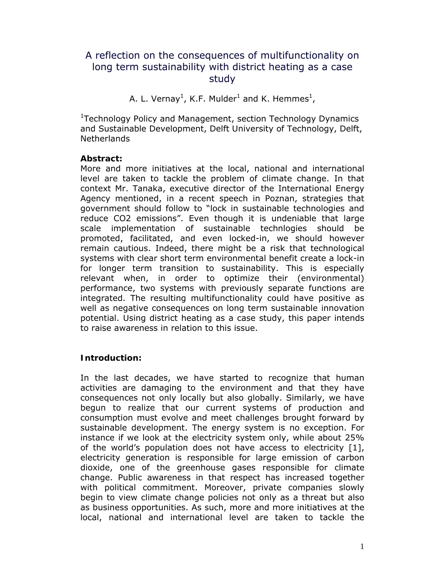# A reflection on the consequences of multifunctionality on long term sustainability with district heating as a case study

A. L. Vernay<sup>1</sup>, K.F. Mulder<sup>1</sup> and K. Hemmes<sup>1</sup>,

<sup>1</sup>Technology Policy and Management, section Technology Dynamics and Sustainable Development, Delft University of Technology, Delft, Netherlands

### **Abstract:**

More and more initiatives at the local, national and international level are taken to tackle the problem of climate change. In that context Mr. Tanaka, executive director of the International Energy Agency mentioned, in a recent speech in Poznan, strategies that government should follow to "lock in sustainable technologies and reduce CO2 emissions". Even though it is undeniable that large scale implementation of sustainable technlogies should be promoted, facilitated, and even locked-in, we should however remain cautious. Indeed, there might be a risk that technological systems with clear short term environmental benefit create a lock-in for longer term transition to sustainability. This is especially relevant when, in order to optimize their (environmental) performance, two systems with previously separate functions are integrated. The resulting multifunctionality could have positive as well as negative consequences on long term sustainable innovation potential. Using district heating as a case study, this paper intends to raise awareness in relation to this issue.

## **Introduction:**

In the last decades, we have started to recognize that human activities are damaging to the environment and that they have consequences not only locally but also globally. Similarly, we have begun to realize that our current systems of production and consumption must evolve and meet challenges brought forward by sustainable development. The energy system is no exception. For instance if we look at the electricity system only, while about 25% of the world's population does not have access to electricity [1], electricity generation is responsible for large emission of carbon dioxide, one of the greenhouse gases responsible for climate change. Public awareness in that respect has increased together with political commitment. Moreover, private companies slowly begin to view climate change policies not only as a threat but also as business opportunities. As such, more and more initiatives at the local, national and international level are taken to tackle the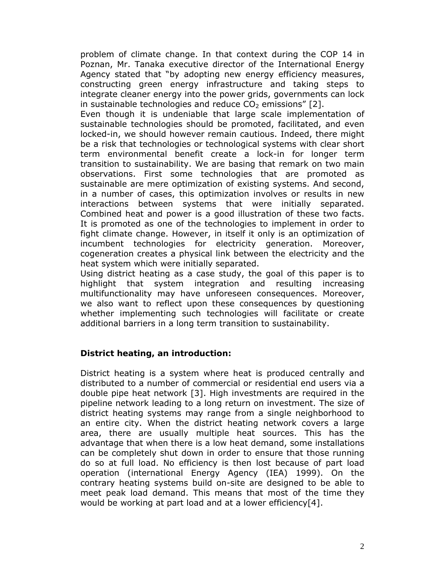problem of climate change. In that context during the COP 14 in Poznan, Mr. Tanaka executive director of the International Energy Agency stated that "by adopting new energy efficiency measures, constructing green energy infrastructure and taking steps to integrate cleaner energy into the power grids, governments can lock in sustainable technologies and reduce  $CO<sub>2</sub>$  emissions" [2].

Even though it is undeniable that large scale implementation of sustainable technologies should be promoted, facilitated, and even locked-in, we should however remain cautious. Indeed, there might be a risk that technologies or technological systems with clear short term environmental benefit create a lock-in for longer term transition to sustainability. We are basing that remark on two main observations. First some technologies that are promoted as sustainable are mere optimization of existing systems. And second, in a number of cases, this optimization involves or results in new interactions between systems that were initially separated. Combined heat and power is a good illustration of these two facts. It is promoted as one of the technologies to implement in order to fight climate change. However, in itself it only is an optimization of incumbent technologies for electricity generation. Moreover, cogeneration creates a physical link between the electricity and the heat system which were initially separated.

Using district heating as a case study, the goal of this paper is to highlight that system integration and resulting increasing multifunctionality may have unforeseen consequences. Moreover, we also want to reflect upon these consequences by questioning whether implementing such technologies will facilitate or create additional barriers in a long term transition to sustainability.

#### **District heating, an introduction:**

District heating is a system where heat is produced centrally and distributed to a number of commercial or residential end users via a double pipe heat network [3]. High investments are required in the pipeline network leading to a long return on investment. The size of district heating systems may range from a single neighborhood to an entire city. When the district heating network covers a large area, there are usually multiple heat sources. This has the advantage that when there is a low heat demand, some installations can be completely shut down in order to ensure that those running do so at full load. No efficiency is then lost because of part load operation (international Energy Agency (IEA) 1999). On the contrary heating systems build on-site are designed to be able to meet peak load demand. This means that most of the time they would be working at part load and at a lower efficiency[4].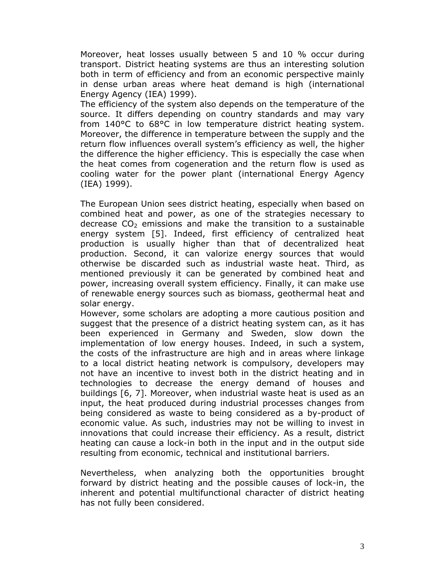Moreover, heat losses usually between 5 and 10 % occur during transport. District heating systems are thus an interesting solution both in term of efficiency and from an economic perspective mainly in dense urban areas where heat demand is high (international Energy Agency (IEA) 1999).

The efficiency of the system also depends on the temperature of the source. It differs depending on country standards and may vary from 140°C to 68°C in low temperature district heating system. Moreover, the difference in temperature between the supply and the return flow influences overall system's efficiency as well, the higher the difference the higher efficiency. This is especially the case when the heat comes from cogeneration and the return flow is used as cooling water for the power plant (international Energy Agency (IEA) 1999).

The European Union sees district heating, especially when based on combined heat and power, as one of the strategies necessary to decrease  $CO<sub>2</sub>$  emissions and make the transition to a sustainable energy system [5]. Indeed, first efficiency of centralized heat production is usually higher than that of decentralized heat production. Second, it can valorize energy sources that would otherwise be discarded such as industrial waste heat. Third, as mentioned previously it can be generated by combined heat and power, increasing overall system efficiency. Finally, it can make use of renewable energy sources such as biomass, geothermal heat and solar energy.

However, some scholars are adopting a more cautious position and suggest that the presence of a district heating system can, as it has been experienced in Germany and Sweden, slow down the implementation of low energy houses. Indeed, in such a system, the costs of the infrastructure are high and in areas where linkage to a local district heating network is compulsory, developers may not have an incentive to invest both in the district heating and in technologies to decrease the energy demand of houses and buildings [6, 7]. Moreover, when industrial waste heat is used as an input, the heat produced during industrial processes changes from being considered as waste to being considered as a by-product of economic value. As such, industries may not be willing to invest in innovations that could increase their efficiency. As a result, district heating can cause a lock-in both in the input and in the output side resulting from economic, technical and institutional barriers.

Nevertheless, when analyzing both the opportunities brought forward by district heating and the possible causes of lock-in, the inherent and potential multifunctional character of district heating has not fully been considered.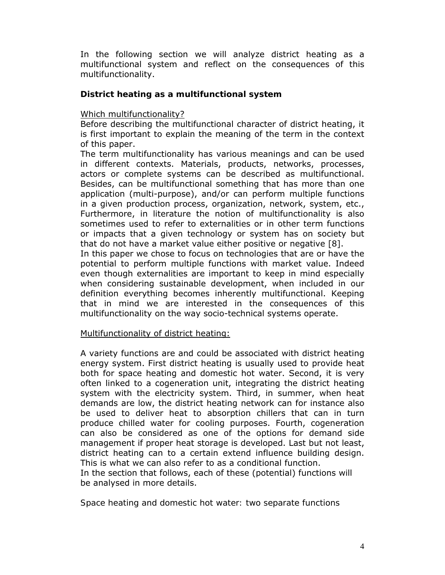In the following section we will analyze district heating as a multifunctional system and reflect on the consequences of this multifunctionality.

## **District heating as a multifunctional system**

#### Which multifunctionality?

Before describing the multifunctional character of district heating, it is first important to explain the meaning of the term in the context of this paper.

The term multifunctionality has various meanings and can be used in different contexts. Materials, products, networks, processes, actors or complete systems can be described as multifunctional. Besides, can be multifunctional something that has more than one application (multi-purpose), and/or can perform multiple functions in a given production process, organization, network, system, etc., Furthermore, in literature the notion of multifunctionality is also sometimes used to refer to externalities or in other term functions or impacts that a given technology or system has on society but that do not have a market value either positive or negative [8].

In this paper we chose to focus on technologies that are or have the potential to perform multiple functions with market value. Indeed even though externalities are important to keep in mind especially when considering sustainable development, when included in our definition everything becomes inherently multifunctional. Keeping that in mind we are interested in the consequences of this multifunctionality on the way socio-technical systems operate.

#### Multifunctionality of district heating:

A variety functions are and could be associated with district heating energy system. First district heating is usually used to provide heat both for space heating and domestic hot water. Second, it is very often linked to a cogeneration unit, integrating the district heating system with the electricity system. Third, in summer, when heat demands are low, the district heating network can for instance also be used to deliver heat to absorption chillers that can in turn produce chilled water for cooling purposes. Fourth, cogeneration can also be considered as one of the options for demand side management if proper heat storage is developed. Last but not least, district heating can to a certain extend influence building design. This is what we can also refer to as a conditional function.

In the section that follows, each of these (potential) functions will be analysed in more details.

*Space heating and domestic hot water: two separate functions*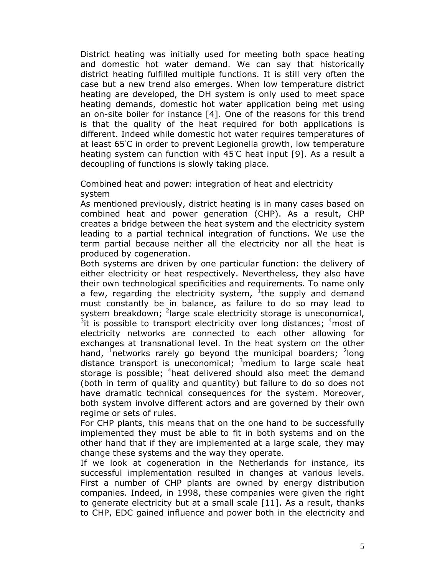District heating was initially used for meeting both space heating and domestic hot water demand. We can say that historically district heating fulfilled multiple functions. It is still very often the case but a new trend also emerges. When low temperature district heating are developed, the DH system is only used to meet space heating demands, domestic hot water application being met using an on-site boiler for instance [4]. One of the reasons for this trend is that the quality of the heat required for both applications is different. Indeed while domestic hot water requires temperatures of at least 65◦ C in order to prevent Legionella growth, low temperature heating system can function with 45℃ heat input [9]. As a result a decoupling of functions is slowly taking place.

#### *Combined heat and power: integration of heat and electricity system*

As mentioned previously, district heating is in many cases based on combined heat and power generation (CHP). As a result, CHP creates a bridge between the heat system and the electricity system leading to a partial technical integration of functions. We use the term partial because neither all the electricity nor all the heat is produced by cogeneration.

Both systems are driven by one particular function: the delivery of either electricity or heat respectively. Nevertheless, they also have their own technological specificities and requirements. To name only a few, regarding the electricity system, <sup>i</sup>the supply and demand must constantly be in balance, as failure to do so may lead to system breakdown; <sup>2</sup>large scale electricity storage is uneconomical,  $3$ it is possible to transport electricity over long distances;  $4$ most of electricity networks are connected to each other allowing for exchanges at transnational level. In the heat system on the other hand, <sup>1</sup>networks rarely go beyond the municipal boarders; <sup>2</sup>long distance transport is uneconomical;  $3$  medium to large scale heat storage is possible; <sup>4</sup>heat delivered should also meet the demand (both in term of quality and quantity) but failure to do so does not have dramatic technical consequences for the system. Moreover, both system involve different actors and are governed by their own regime or sets of rules.

For CHP plants, this means that on the one hand to be successfully implemented they must be able to fit in both systems and on the other hand that if they are implemented at a large scale, they may change these systems and the way they operate.

If we look at cogeneration in the Netherlands for instance, its successful implementation resulted in changes at various levels. First a number of CHP plants are owned by energy distribution companies. Indeed, in 1998, these companies were given the right to generate electricity but at a small scale [11]. As a result, thanks to CHP, EDC gained influence and power both in the electricity and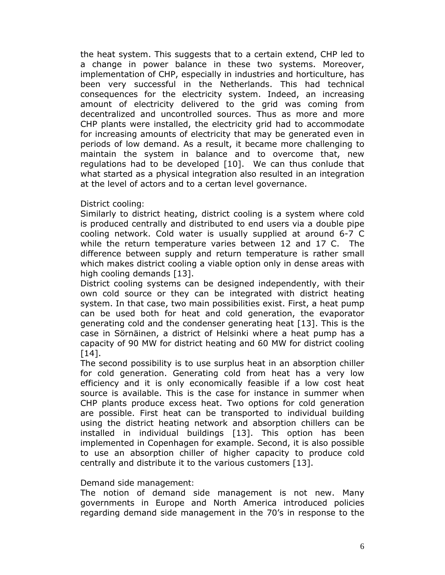the heat system. This suggests that to a certain extend, CHP led to a change in power balance in these two systems. Moreover, implementation of CHP, especially in industries and horticulture, has been very successful in the Netherlands. This had technical consequences for the electricity system. Indeed, an increasing amount of electricity delivered to the grid was coming from decentralized and uncontrolled sources. Thus as more and more CHP plants were installed, the electricity grid had to accommodate for increasing amounts of electricity that may be generated even in periods of low demand. As a result, it became more challenging to maintain the system in balance and to overcome that, new regulations had to be developed [10]. We can thus conlude that what started as a physical integration also resulted in an integration at the level of actors and to a certan level governance.

#### *District cooling:*

Similarly to district heating, district cooling is a system where cold is produced centrally and distributed to end users via a double pipe cooling network. Cold water is usually supplied at around 6-7 C while the return temperature varies between 12 and 17 C. The difference between supply and return temperature is rather small which makes district cooling a viable option only in dense areas with high cooling demands [13].

District cooling systems can be designed independently, with their own cold source or they can be integrated with district heating system. In that case, two main possibilities exist. First, a heat pump can be used both for heat and cold generation, the evaporator generating cold and the condenser generating heat [13]. This is the case in Sörnäinen, a district of Helsinki where a heat pump has a capacity of 90 MW for district heating and 60 MW for district cooling [14].

The second possibility is to use surplus heat in an absorption chiller for cold generation. Generating cold from heat has a very low efficiency and it is only economically feasible if a low cost heat source is available. This is the case for instance in summer when CHP plants produce excess heat. Two options for cold generation are possible. First heat can be transported to individual building using the district heating network and absorption chillers can be installed in individual buildings [13]. This option has been implemented in Copenhagen for example. Second, it is also possible to use an absorption chiller of higher capacity to produce cold centrally and distribute it to the various customers [13].

#### *Demand side management:*

The notion of demand side management is not new. Many governments in Europe and North America introduced policies regarding demand side management in the 70's in response to the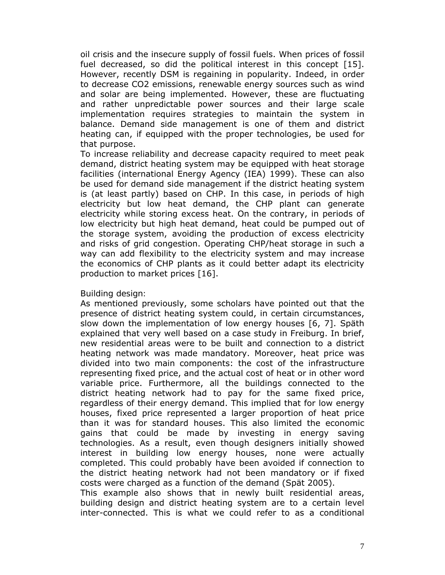oil crisis and the insecure supply of fossil fuels. When prices of fossil fuel decreased, so did the political interest in this concept [15]. However, recently DSM is regaining in popularity. Indeed, in order to decrease CO2 emissions, renewable energy sources such as wind and solar are being implemented. However, these are fluctuating and rather unpredictable power sources and their large scale implementation requires strategies to maintain the system in balance. Demand side management is one of them and district heating can, if equipped with the proper technologies, be used for that purpose.

To increase reliability and decrease capacity required to meet peak demand, district heating system may be equipped with heat storage facilities (international Energy Agency (IEA) 1999). These can also be used for demand side management if the district heating system is (at least partly) based on CHP. In this case, in periods of high electricity but low heat demand, the CHP plant can generate electricity while storing excess heat. On the contrary, in periods of low electricity but high heat demand, heat could be pumped out of the storage system, avoiding the production of excess electricity and risks of grid congestion. Operating CHP/heat storage in such a way can add flexibility to the electricity system and may increase the economics of CHP plants as it could better adapt its electricity production to market prices [16].

#### *Building design:*

As mentioned previously, some scholars have pointed out that the presence of district heating system could, in certain circumstances, slow down the implementation of low energy houses [6, 7]. Späth explained that very well based on a case study in Freiburg. In brief, new residential areas were to be built and connection to a district heating network was made mandatory. Moreover, heat price was divided into two main components: the cost of the infrastructure representing fixed price, and the actual cost of heat or in other word variable price. Furthermore, all the buildings connected to the district heating network had to pay for the same fixed price, regardless of their energy demand. This implied that for low energy houses, fixed price represented a larger proportion of heat price than it was for standard houses. This also limited the economic gains that could be made by investing in energy saving technologies. As a result, even though designers initially showed interest in building low energy houses, none were actually completed. This could probably have been avoided if connection to the district heating network had not been mandatory or if fixed costs were charged as a function of the demand (Spät 2005).

This example also shows that in newly built residential areas, building design and district heating system are to a certain level inter-connected. This is what we could refer to as a conditional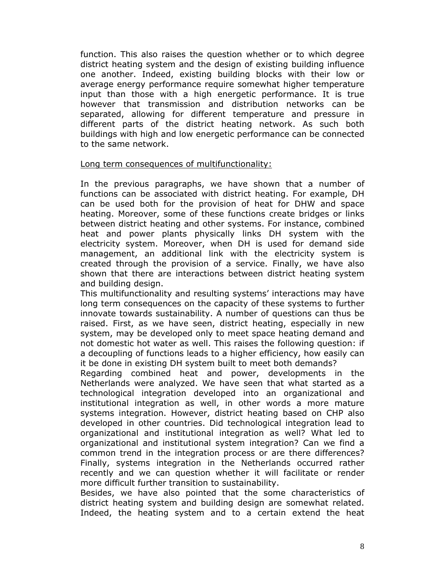function. This also raises the question whether or to which degree district heating system and the design of existing building influence one another. Indeed, existing building blocks with their low or average energy performance require somewhat higher temperature input than those with a high energetic performance. It is true however that transmission and distribution networks can be separated, allowing for different temperature and pressure in different parts of the district heating network. As such both buildings with high and low energetic performance can be connected to the same network.

### Long term consequences of multifunctionality:

In the previous paragraphs, we have shown that a number of functions can be associated with district heating. For example, DH can be used both for the provision of heat for DHW and space heating. Moreover, some of these functions create bridges or links between district heating and other systems. For instance, combined heat and power plants physically links DH system with the electricity system. Moreover, when DH is used for demand side management, an additional link with the electricity system is created through the provision of a service. Finally, we have also shown that there are interactions between district heating system and building design.

This multifunctionality and resulting systems' interactions may have long term consequences on the capacity of these systems to further innovate towards sustainability. A number of questions can thus be raised. First, as we have seen, district heating, especially in new system, may be developed only to meet space heating demand and not domestic hot water as well. This raises the following question: if a decoupling of functions leads to a higher efficiency, how easily can it be done in existing DH system built to meet both demands?

Regarding combined heat and power, developments in the Netherlands were analyzed. We have seen that what started as a technological integration developed into an organizational and institutional integration as well, in other words a more mature systems integration. However, district heating based on CHP also developed in other countries. Did technological integration lead to organizational and institutional integration as well? What led to organizational and institutional system integration? Can we find a common trend in the integration process or are there differences? Finally, systems integration in the Netherlands occurred rather recently and we can question whether it will facilitate or render more difficult further transition to sustainability.

Besides, we have also pointed that the some characteristics of district heating system and building design are somewhat related. Indeed, the heating system and to a certain extend the heat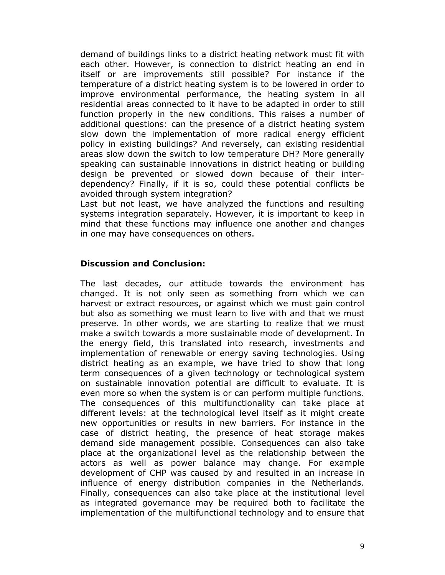demand of buildings links to a district heating network must fit with each other. However, is connection to district heating an end in itself or are improvements still possible? For instance if the temperature of a district heating system is to be lowered in order to improve environmental performance, the heating system in all residential areas connected to it have to be adapted in order to still function properly in the new conditions. This raises a number of additional questions: can the presence of a district heating system slow down the implementation of more radical energy efficient policy in existing buildings? And reversely, can existing residential areas slow down the switch to low temperature DH? More generally speaking can sustainable innovations in district heating or building design be prevented or slowed down because of their interdependency? Finally, if it is so, could these potential conflicts be avoided through system integration?

Last but not least, we have analyzed the functions and resulting systems integration separately. However, it is important to keep in mind that these functions may influence one another and changes in one may have consequences on others.

#### **Discussion and Conclusion:**

The last decades, our attitude towards the environment has changed. It is not only seen as something from which we can harvest or extract resources, or against which we must gain control but also as something we must learn to live with and that we must preserve. In other words, we are starting to realize that we must make a switch towards a more sustainable mode of development. In the energy field, this translated into research, investments and implementation of renewable or energy saving technologies. Using district heating as an example, we have tried to show that long term consequences of a given technology or technological system on sustainable innovation potential are difficult to evaluate. It is even more so when the system is or can perform multiple functions. The consequences of this multifunctionality can take place at different levels: at the technological level itself as it might create new opportunities or results in new barriers. For instance in the case of district heating, the presence of heat storage makes demand side management possible. Consequences can also take place at the organizational level as the relationship between the actors as well as power balance may change. For example development of CHP was caused by and resulted in an increase in influence of energy distribution companies in the Netherlands. Finally, consequences can also take place at the institutional level as integrated governance may be required both to facilitate the implementation of the multifunctional technology and to ensure that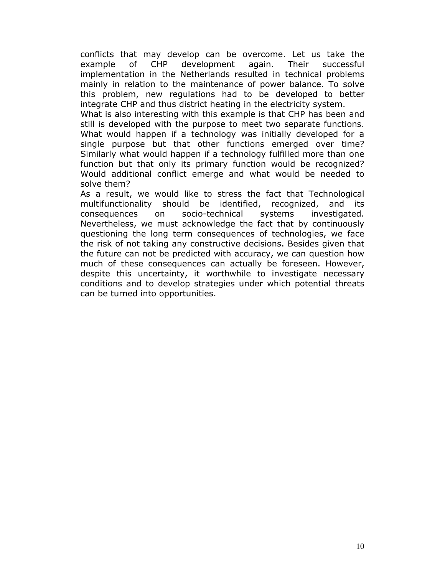conflicts that may develop can be overcome. Let us take the example of CHP development again. Their successful implementation in the Netherlands resulted in technical problems mainly in relation to the maintenance of power balance. To solve this problem, new regulations had to be developed to better integrate CHP and thus district heating in the electricity system.

What is also interesting with this example is that CHP has been and still is developed with the purpose to meet two separate functions. What would happen if a technology was initially developed for a single purpose but that other functions emerged over time? Similarly what would happen if a technology fulfilled more than one function but that only its primary function would be recognized? Would additional conflict emerge and what would be needed to solve them?

As a result, we would like to stress the fact that Technological multifunctionality should be identified, recognized, and its consequences on socio-technical systems investigated. Nevertheless, we must acknowledge the fact that by continuously questioning the long term consequences of technologies, we face the risk of not taking any constructive decisions. Besides given that the future can not be predicted with accuracy, we can question how much of these consequences can actually be foreseen. However, despite this uncertainty, it worthwhile to investigate necessary conditions and to develop strategies under which potential threats can be turned into opportunities.